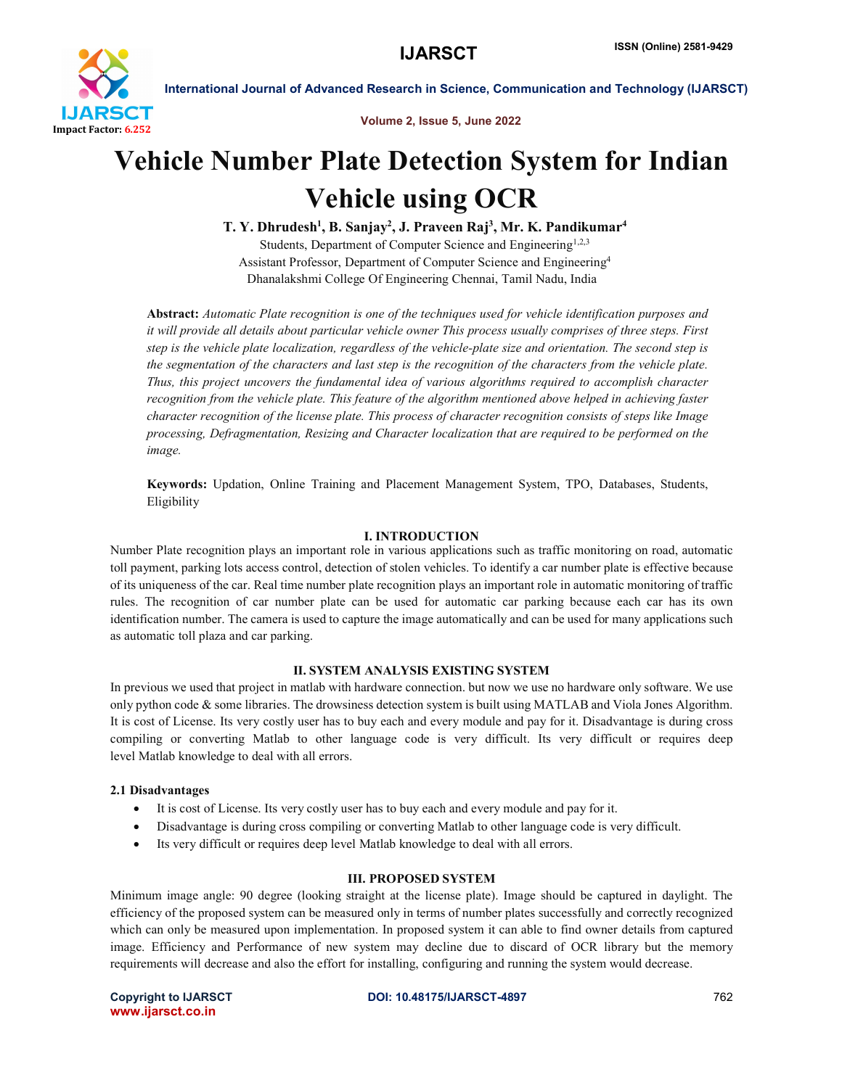

Volume 2, Issue 5, June 2022

# Vehicle Number Plate Detection System for Indian Vehicle using OCR

T. Y. Dhrudesh<sup>1</sup>, B. Sanjay<sup>2</sup>, J. Praveen Raj<sup>3</sup>, Mr. K. Pandikumar<sup>4</sup>

Students, Department of Computer Science and Engineering<sup>1,2,3</sup> Assistant Professor, Department of Computer Science and Engineering4 Dhanalakshmi College Of Engineering Chennai, Tamil Nadu, India

Abstract: *Automatic Plate recognition is one of the techniques used for vehicle identification purposes and it will provide all details about particular vehicle owner This process usually comprises of three steps. First step is the vehicle plate localization, regardless of the vehicle-plate size and orientation. The second step is the segmentation of the characters and last step is the recognition of the characters from the vehicle plate. Thus, this project uncovers the fundamental idea of various algorithms required to accomplish character recognition from the vehicle plate. This feature of the algorithm mentioned above helped in achieving faster character recognition of the license plate. This process of character recognition consists of steps like Image processing, Defragmentation, Resizing and Character localization that are required to be performed on the image.*

Keywords: Updation, Online Training and Placement Management System, TPO, Databases, Students, Eligibility

# I. INTRODUCTION

Number Plate recognition plays an important role in various applications such as traffic monitoring on road, automatic toll payment, parking lots access control, detection of stolen vehicles. To identify a car number plate is effective because of its uniqueness of the car. Real time number plate recognition plays an important role in automatic monitoring of traffic rules. The recognition of car number plate can be used for automatic car parking because each car has its own identification number. The camera is used to capture the image automatically and can be used for many applications such as automatic toll plaza and car parking.

# II. SYSTEM ANALYSIS EXISTING SYSTEM

In previous we used that project in matlab with hardware connection. but now we use no hardware only software. We use only python code & some libraries. The drowsiness detection system is built using MATLAB and Viola Jones Algorithm. It is cost of License. Its very costly user has to buy each and every module and pay for it. Disadvantage is during cross compiling or converting Matlab to other language code is very difficult. Its very difficult or requires deep level Matlab knowledge to deal with all errors.

# 2.1 Disadvantages

- It is cost of License. Its very costly user has to buy each and every module and pay for it.
- Disadvantage is during cross compiling or converting Matlab to other language code is very difficult.
- Its very difficult or requires deep level Matlab knowledge to deal with all errors.

# III. PROPOSED SYSTEM

Minimum image angle: 90 degree (looking straight at the license plate). Image should be captured in daylight. The efficiency of the proposed system can be measured only in terms of number plates successfully and correctly recognized which can only be measured upon implementation. In proposed system it can able to find owner details from captured image. Efficiency and Performance of new system may decline due to discard of OCR library but the memory requirements will decrease and also the effort for installing, configuring and running the system would decrease.

www.ijarsct.co.in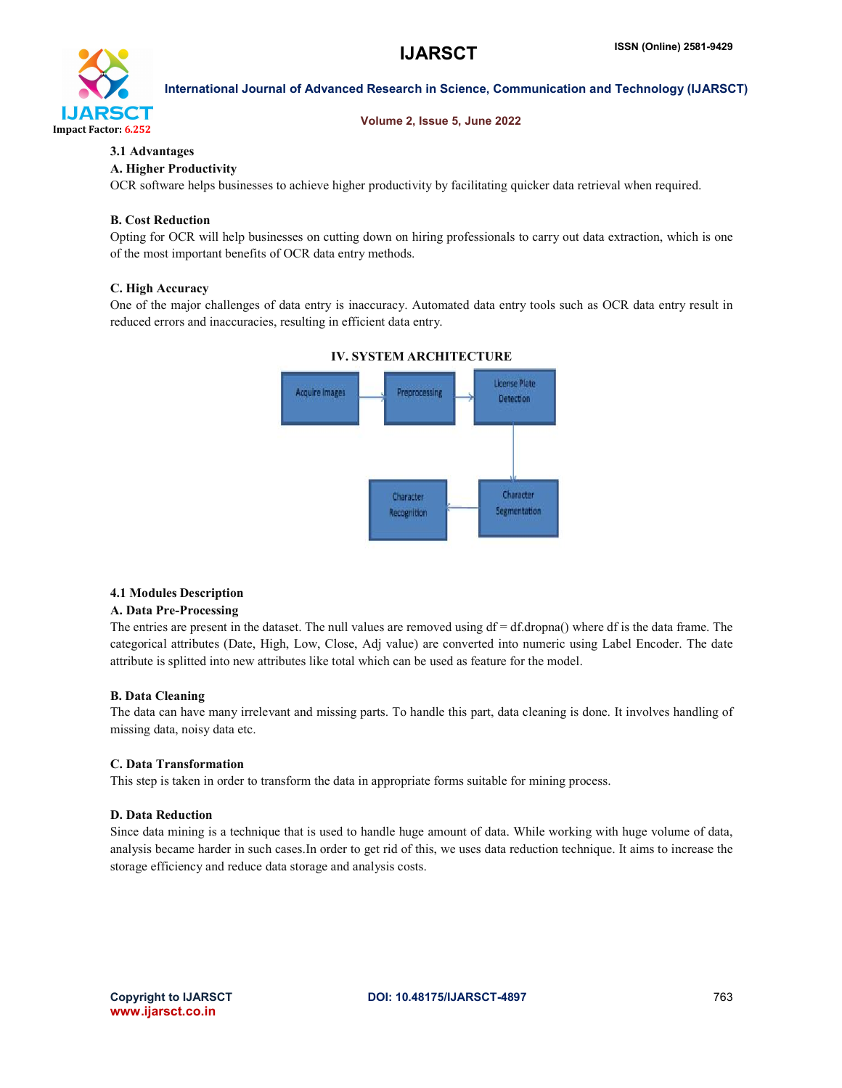

### Volume 2, Issue 5, June 2022

# 3.1 Advantages

# A. Higher Productivity

OCR software helps businesses to achieve higher productivity by facilitating quicker data retrieval when required.

# B. Cost Reduction

Opting for OCR will help businesses on cutting down on hiring professionals to carry out data extraction, which is one of the most important benefits of OCR data entry methods.

# C. High Accuracy

One of the major challenges of data entry is inaccuracy. Automated data entry tools such as OCR data entry result in reduced errors and inaccuracies, resulting in efficient data entry.



# IV. SYSTEM ARCHITECTURE

# 4.1 Modules Description

# A. Data Pre-Processing

The entries are present in the dataset. The null values are removed using  $df = df \cdot dr$  where df is the data frame. The categorical attributes (Date, High, Low, Close, Adj value) are converted into numeric using Label Encoder. The date attribute is splitted into new attributes like total which can be used as feature for the model.

# B. Data Cleaning

The data can have many irrelevant and missing parts. To handle this part, data cleaning is done. It involves handling of missing data, noisy data etc.

# C. Data Transformation

This step is taken in order to transform the data in appropriate forms suitable for mining process.

# D. Data Reduction

Since data mining is a technique that is used to handle huge amount of data. While working with huge volume of data, analysis became harder in such cases.In order to get rid of this, we uses data reduction technique. It aims to increase the storage efficiency and reduce data storage and analysis costs.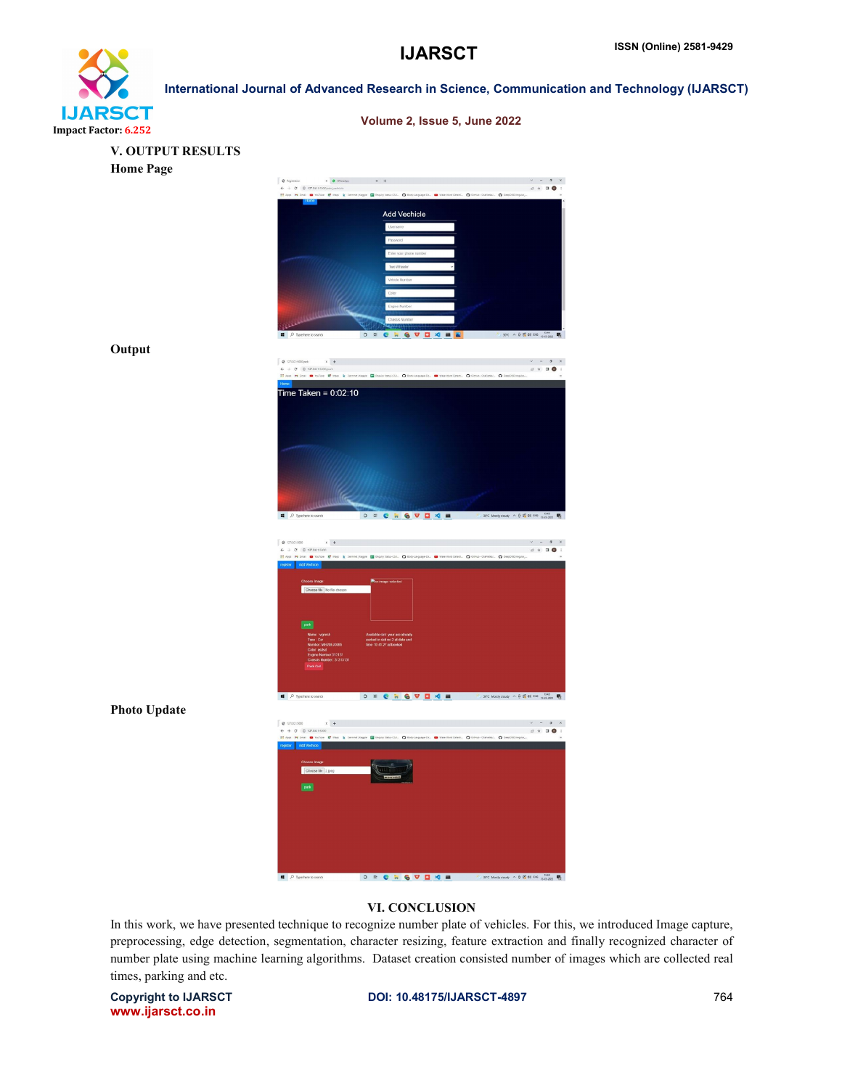

| ---<br>or 6.252     | Volume 2, Issue 5, June 2022                                                                                                                                                                                                                                                                                                                                                                                                                                                                                                                                                  |                                                                                                               |
|---------------------|-------------------------------------------------------------------------------------------------------------------------------------------------------------------------------------------------------------------------------------------------------------------------------------------------------------------------------------------------------------------------------------------------------------------------------------------------------------------------------------------------------------------------------------------------------------------------------|---------------------------------------------------------------------------------------------------------------|
| V. OUTPUT RESULTS   |                                                                                                                                                                                                                                                                                                                                                                                                                                                                                                                                                                               |                                                                                                               |
| <b>Home Page</b>    |                                                                                                                                                                                                                                                                                                                                                                                                                                                                                                                                                                               |                                                                                                               |
|                     | @ Repittation<br>$\mathbf{x} = \mathbf{0} \quad \text{where} \quad \mathbf{x} = \mathbf{0} + \mathbf{1}$                                                                                                                                                                                                                                                                                                                                                                                                                                                                      | $\begin{array}{ccccccccc} \vee & - & 0 & \times \end{array}$                                                  |
|                     | $\begin{array}{rcl} \Leftarrow & \Rightarrow & \text{\textcircled{C}} & \text{\textcircled{O}} & 127.0415000 \text{isdij-ucleon} \end{array}$<br>[1] Apps PH Small @ YouTube @ Maps & Demnet   Cagine Coll   Reply/Statu-Col. . D Body-Language-De. @ Wile Wind Search. . O Demia- Clairlette  . O Demphibine                                                                                                                                                                                                                                                                 |                                                                                                               |
|                     | <b>Add Vechicle</b>                                                                                                                                                                                                                                                                                                                                                                                                                                                                                                                                                           |                                                                                                               |
|                     | Username                                                                                                                                                                                                                                                                                                                                                                                                                                                                                                                                                                      |                                                                                                               |
|                     | Password<br>Enter your phone numbe                                                                                                                                                                                                                                                                                                                                                                                                                                                                                                                                            |                                                                                                               |
|                     | Two Wheeler                                                                                                                                                                                                                                                                                                                                                                                                                                                                                                                                                                   |                                                                                                               |
|                     | Vehicle Number                                                                                                                                                                                                                                                                                                                                                                                                                                                                                                                                                                |                                                                                                               |
|                     | Color<br>Engine Number                                                                                                                                                                                                                                                                                                                                                                                                                                                                                                                                                        |                                                                                                               |
|                     | Chassis Number                                                                                                                                                                                                                                                                                                                                                                                                                                                                                                                                                                |                                                                                                               |
|                     | $\Box$ $\Box$ Type here to search<br>O H C H G W D 4 B A                                                                                                                                                                                                                                                                                                                                                                                                                                                                                                                      | $\frac{1}{2}$ 30°C $\land$ $\frac{1}{2}$ $\bigotimes$ $\bigotimes$ $\bigotimes$ EWG $\bigotimes$ $\bigotimes$ |
| Output              |                                                                                                                                                                                                                                                                                                                                                                                                                                                                                                                                                                               |                                                                                                               |
|                     | $0.17441500\text{pack}$<br>$\mathbf{x} \parallel \mathbf{+}$<br>$\mathbf{F} \ \rightarrow \ \mathbf{C} \quad \  \  \mathbf{0} \ \ \text{ 127.0.1} \text{ 15000} \text{part}$                                                                                                                                                                                                                                                                                                                                                                                                  | $\begin{array}{cccc} \vee & = & \mathbf{0} & \times \end{array}$                                              |
|                     | [[] Apps: PH Small @ YouTube: @ Maps: & Demnet(Kager @ Enquiry Statu-Col., @ Boot-Lerguage-De., @ Wale Wind Center, @ Dem Collector, @ Demptitionspure,                                                                                                                                                                                                                                                                                                                                                                                                                       |                                                                                                               |
|                     | Time Taken = $0:02:10$                                                                                                                                                                                                                                                                                                                                                                                                                                                                                                                                                        |                                                                                                               |
|                     |                                                                                                                                                                                                                                                                                                                                                                                                                                                                                                                                                                               |                                                                                                               |
|                     |                                                                                                                                                                                                                                                                                                                                                                                                                                                                                                                                                                               |                                                                                                               |
|                     |                                                                                                                                                                                                                                                                                                                                                                                                                                                                                                                                                                               |                                                                                                               |
|                     |                                                                                                                                                                                                                                                                                                                                                                                                                                                                                                                                                                               |                                                                                                               |
|                     |                                                                                                                                                                                                                                                                                                                                                                                                                                                                                                                                                                               |                                                                                                               |
|                     |                                                                                                                                                                                                                                                                                                                                                                                                                                                                                                                                                                               |                                                                                                               |
|                     | O # C # G W D X =<br>$\rho$ Type here to search                                                                                                                                                                                                                                                                                                                                                                                                                                                                                                                               | 30°C Mostly coudy $\wedge \oplus \oplus$ all two $\lim_{12 \to 202}$                                          |
|                     | 0.17.001500<br>$x +$                                                                                                                                                                                                                                                                                                                                                                                                                                                                                                                                                          | $\begin{array}{ccccccccc}\n\vee & - & 0 & \times & \n\end{array}$                                             |
|                     | $\mathsf{L} \hspace{2mm} \rightarrow \hspace{2mm} \mathsf{C} \hspace{2mm} \quad \mathsf{C} \hspace{2mm} \quad \mathsf{C} \hspace{2mm} \quad \mathsf{R} \hspace{2mm} \quad \mathsf{R} \hspace{2mm} \quad \mathsf{R} \hspace{2mm} \quad \mathsf{R} \hspace{2mm} \quad \mathsf{R} \hspace{2mm} \quad \mathsf{R} \hspace{2mm} \quad \mathsf{R} \hspace{2mm} \quad \mathsf{R} \hspace{2mm} \quad \mathsf{R} \hspace{2mm} \quad \mathsf{R} \hspace{2mm} \quad \mathsf$<br>III Apps PI Small @ YouTube E Maps & Demnet Kapple E Inquiry Status-CSL. @ Body-Language-Dr<br>Add Vechic | wave Wind Detect ( O Group - Olafletta/ ( O DeepOfi@ingular,                                                  |
|                     | Choose Image:<br>Pho image selected                                                                                                                                                                                                                                                                                                                                                                                                                                                                                                                                           |                                                                                                               |
|                     | Choose file No file chosen                                                                                                                                                                                                                                                                                                                                                                                                                                                                                                                                                    |                                                                                                               |
|                     |                                                                                                                                                                                                                                                                                                                                                                                                                                                                                                                                                                               |                                                                                                               |
|                     | park                                                                                                                                                                                                                                                                                                                                                                                                                                                                                                                                                                          |                                                                                                               |
|                     | Available slot your are sineady<br>parked in slot no 2 at date and<br>time 10:41:27 at booked<br>Type: Car<br>Number: MH20EJ0365<br>Color: asstsd<br>Engine Number:313131                                                                                                                                                                                                                                                                                                                                                                                                     |                                                                                                               |
|                     | Chassis Number: 31313131<br>Park Out                                                                                                                                                                                                                                                                                                                                                                                                                                                                                                                                          |                                                                                                               |
|                     |                                                                                                                                                                                                                                                                                                                                                                                                                                                                                                                                                                               |                                                                                                               |
|                     | $\blacksquare$ $\lozenge$ Type here to search                                                                                                                                                                                                                                                                                                                                                                                                                                                                                                                                 |                                                                                                               |
| <b>Photo Update</b> |                                                                                                                                                                                                                                                                                                                                                                                                                                                                                                                                                                               |                                                                                                               |
|                     | $x +$<br>● 127.00.15030<br>$\leftarrow + 0$ 0 127.0.1.5339<br>E App. M Small @ toulune @ Maps. & Sement) larger @ Enquiry State Col. @ Rosy-Leguage-De. @ New West Center. @ Deve - Calvetter @ Despitationsport,                                                                                                                                                                                                                                                                                                                                                             | $\mathbf{v} = \mathbf{0} \quad \mathbf{x}$<br>$\mathcal{L} \triangleq \mathbf{I} \mathbf{0}$                  |
|                     | repsier <mark>Add Vectica (</mark> 1990) and the contract of the contract of the contract of the contract of the contract of the contract of the contract of the contract of the contract of the contract of the contract of the contract                                                                                                                                                                                                                                                                                                                                     |                                                                                                               |
|                     | Choose Image:<br>Choose file 2 jpeg                                                                                                                                                                                                                                                                                                                                                                                                                                                                                                                                           |                                                                                                               |
|                     | $\boxed{\text{peak}}$                                                                                                                                                                                                                                                                                                                                                                                                                                                                                                                                                         |                                                                                                               |
|                     |                                                                                                                                                                                                                                                                                                                                                                                                                                                                                                                                                                               |                                                                                                               |
|                     |                                                                                                                                                                                                                                                                                                                                                                                                                                                                                                                                                                               |                                                                                                               |
|                     |                                                                                                                                                                                                                                                                                                                                                                                                                                                                                                                                                                               |                                                                                                               |
|                     |                                                                                                                                                                                                                                                                                                                                                                                                                                                                                                                                                                               |                                                                                                               |
|                     |                                                                                                                                                                                                                                                                                                                                                                                                                                                                                                                                                                               |                                                                                                               |
|                     | P Type here to search                                                                                                                                                                                                                                                                                                                                                                                                                                                                                                                                                         |                                                                                                               |

# VI. CONCLUSION

In this work, we have presented technique to recognize number plate of vehicles. For this, we introduced Image capture, preprocessing, edge detection, segmentation, character resizing, feature extraction and finally recognized character of number plate using machine learning algorithms. Dataset creation consisted number of images which are collected real times, parking and etc.

www.ijarsct.co.in